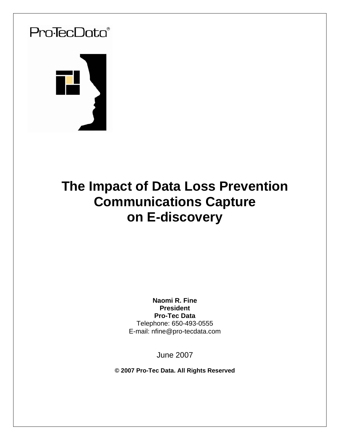

# **The Impact of Data Loss Prevention Communications Capture on E-discovery**

**Naomi R. Fine President Pro-Tec Data** Telephone: 650-493-0555 E-mail: nfine@pro-tecdata.com

June 2007

**© 2007 Pro-Tec Data. All Rights Reserved**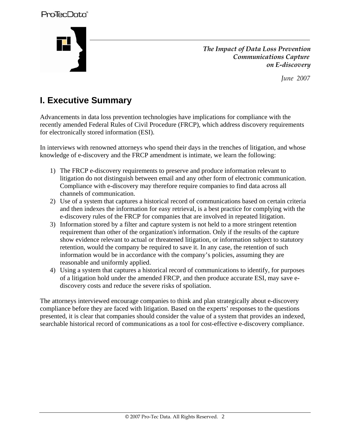

 *The Impact of Data Loss Prevention Communications Capture on E-discovery* 

 *June 2007* 

# **I. Executive Summary**

Advancements in data loss prevention technologies have implications for compliance with the recently amended Federal Rules of Civil Procedure (FRCP), which address discovery requirements for electronically stored information (ESI).

In interviews with renowned attorneys who spend their days in the trenches of litigation, and whose knowledge of e-discovery and the FRCP amendment is intimate, we learn the following:

- 1) The FRCP e-discovery requirements to preserve and produce information relevant to litigation do not distinguish between email and any other form of electronic communication. Compliance with e-discovery may therefore require companies to find data across all channels of communication.
- 2) Use of a system that captures a historical record of communications based on certain criteria and then indexes the information for easy retrieval, is a best practice for complying with the e-discovery rules of the FRCP for companies that are involved in repeated litigation.
- 3) Information stored by a filter and capture system is not held to a more stringent retention requirement than other of the organization's information. Only if the results of the capture show evidence relevant to actual or threatened litigation, or information subject to statutory retention, would the company be required to save it. In any case, the retention of such information would be in accordance with the company's policies, assuming they are reasonable and uniformly applied.
- 4) Using a system that captures a historical record of communications to identify, for purposes of a litigation hold under the amended FRCP, and then produce accurate ESI, may save ediscovery costs and reduce the severe risks of spoliation.

The attorneys interviewed encourage companies to think and plan strategically about e-discovery compliance before they are faced with litigation. Based on the experts' responses to the questions presented, it is clear that companies should consider the value of a system that provides an indexed, searchable historical record of communications as a tool for cost-effective e-discovery compliance.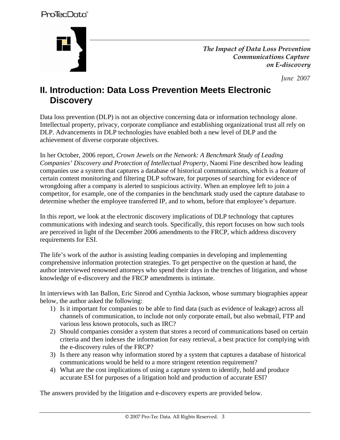

 *The Impact of Data Loss Prevention Communications Capture on E-discovery* 

 *June 2007* 

## **II. Introduction: Data Loss Prevention Meets Electronic Discovery**

Data loss prevention (DLP) is not an objective concerning data or information technology alone. Intellectual property, privacy, corporate compliance and establishing organizational trust all rely on DLP. Advancements in DLP technologies have enabled both a new level of DLP and the achievement of diverse corporate objectives.

In her October, 2006 report, *Crown Jewels on the Network: A Benchmark Study of Leading Companies' Discovery and Protection of Intellectual Property,* Naomi Fine described how leading companies use a system that captures a database of historical communications, which is a feature of certain content monitoring and filtering DLP software, for purposes of searching for evidence of wrongdoing after a company is alerted to suspicious activity. When an employee left to join a competitor, for example, one of the companies in the benchmark study used the capture database to determine whether the employee transferred IP, and to whom, before that employee's departure.

In this report, we look at the electronic discovery implications of DLP technology that captures communications with indexing and search tools. Specifically, this report focuses on how such tools are perceived in light of the December 2006 amendments to the FRCP, which address discovery requirements for ESI.

The life's work of the author is assisting leading companies in developing and implementing comprehensive information protection strategies. To get perspective on the question at hand, the author interviewed renowned attorneys who spend their days in the trenches of litigation, and whose knowledge of e-discovery and the FRCP amendments is intimate.

In interviews with Ian Ballon, Eric Sinrod and Cynthia Jackson, whose summary biographies appear below, the author asked the following:

- 1) Is it important for companies to be able to find data (such as evidence of leakage) across all channels of communication, to include not only corporate email, but also webmail, FTP and various less known protocols, such as IRC?
- 2) Should companies consider a system that stores a record of communications based on certain criteria and then indexes the information for easy retrieval, a best practice for complying with the e-discovery rules of the FRCP?
- 3) Is there any reason why information stored by a system that captures a database of historical communications would be held to a more stringent retention requirement?
- 4) What are the cost implications of using a capture system to identify, hold and produce accurate ESI for purposes of a litigation hold and production of accurate ESI?

The answers provided by the litigation and e-discovery experts are provided below.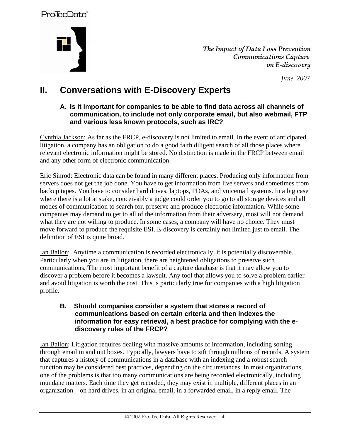

 *The Impact of Data Loss Prevention Communications Capture on E-discovery* 

 *June 2007* 

# **II. Conversations with E-Discovery Experts**

#### **A. Is it important for companies to be able to find data across all channels of communication, to include not only corporate email, but also webmail, FTP and various less known protocols, such as IRC?**

Cynthia Jackson: As far as the FRCP, e-discovery is not limited to email. In the event of anticipated litigation, a company has an obligation to do a good faith diligent search of all those places where relevant electronic information might be stored. No distinction is made in the FRCP between email and any other form of electronic communication.

Eric Sinrod: Electronic data can be found in many different places. Producing only information from servers does not get the job done. You have to get information from live servers and sometimes from backup tapes. You have to consider hard drives, laptops, PDAs, and voicemail systems. In a big case where there is a lot at stake, conceivably a judge could order you to go to all storage devices and all modes of communication to search for, preserve and produce electronic information. While some companies may demand to get to all of the information from their adversary, most will not demand what they are not willing to produce. In some cases, a company will have no choice. They must move forward to produce the requisite ESI. E-discovery is certainly not limited just to email. The definition of ESI is quite broad.

Ian Ballon: Anytime a communication is recorded electronically, it is potentially discoverable. Particularly when you are in litigation, there are heightened obligations to preserve such communications. The most important benefit of a capture database is that it may allow you to discover a problem before it becomes a lawsuit. Any tool that allows you to solve a problem earlier and avoid litigation is worth the cost. This is particularly true for companies with a high litigation profile.

#### **B. Should companies consider a system that stores a record of communications based on certain criteria and then indexes the information for easy retrieval, a best practice for complying with the ediscovery rules of the FRCP?**

Ian Ballon: Litigation requires dealing with massive amounts of information, including sorting through email in and out boxes. Typically, lawyers have to sift through millions of records. A system that captures a history of communications in a database with an indexing and a robust search function may be considered best practices, depending on the circumstances. In most organizations, one of the problems is that too many communications are being recorded electronically, including mundane matters. Each time they get recorded, they may exist in multiple, different places in an organization—on hard drives, in an original email, in a forwarded email, in a reply email. The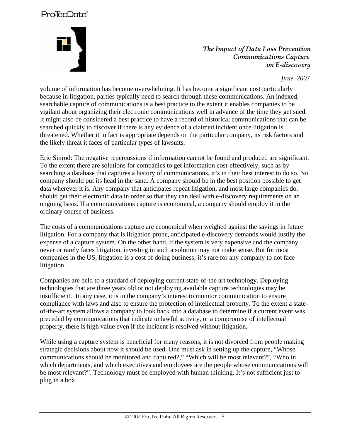

 *The Impact of Data Loss Prevention Communications Capture on E-discovery* 

 *June 2007* 

volume of information has become overwhelming. It has become a significant cost particularly because in litigation, parties typically need to search through these communications. An indexed, searchable capture of communications is a best practice to the extent it enables companies to be vigilant about organizing their electronic communications well in advance of the time they get sued. It might also be considered a best practice to have a record of historical communications that can be searched quickly to discover if there is any evidence of a claimed incident once litigation is threatened. Whether it in fact is appropriate depends on the particular company, its risk factors and the likely threat it faces of particular types of lawsuits.

Eric Sinrod: The negative repercussions if information cannot be found and produced are significant. To the extent there are solutions for companies to get information cost-effectively, such as by searching a database that captures a history of communications, it's in their best interest to do so. No company should put its head in the sand. A company should be in the best position possible to get data wherever it is. Any company that anticipates repeat litigation, and most large companies do, should get their electronic data in order so that they can deal with e-discovery requirements on an ongoing basis. If a communications capture is economical, a company should employ it in the ordinary course of business.

The costs of a communications capture are economical when weighed against the savings in future litigation. For a company that is litigation prone, anticipated e-discovery demands would justify the expense of a capture system. On the other hand, if the system is very expensive and the company never or rarely faces litigation, investing in such a solution may not make sense. But for most companies in the US, litigation is a cost of doing business; it's rare for any company to not face litigation.

Companies are held to a standard of deploying current state-of-the art technology. Deploying technologies that are three years old or not deploying available capture technologies may be insufficient. In any case, it is in the company's interest to monitor communication to ensure compliance with laws and also to ensure the protection of intellectual property. To the extent a stateof-the-art system allows a company to look back into a database to determine if a current event was preceded by communications that indicate unlawful activity, or a compromise of intellectual property, there is high value even if the incident is resolved without litigation.

While using a capture system is beneficial for many reasons, it is not divorced from people making strategic decisions about how it should be used. One must ask in setting up the capture, "Whose communications should be monitored and captured?," "Which will be most relevant?", "Who in which departments, and which executives and employees are the people whose communications will be most relevant?". Technology must be employed with human thinking. It's not sufficient just to plug in a box.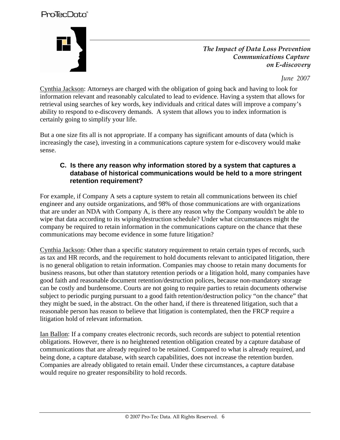

 *The Impact of Data Loss Prevention Communications Capture on E-discovery* 

 *June 2007* 

Cynthia Jackson: Attorneys are charged with the obligation of going back and having to look for information relevant and reasonably calculated to lead to evidence. Having a system that allows for retrieval using searches of key words, key individuals and critical dates will improve a company's ability to respond to e-discovery demands. A system that allows you to index information is certainly going to simplify your life.

But a one size fits all is not appropriate. If a company has significant amounts of data (which is increasingly the case), investing in a communications capture system for e-discovery would make sense.

#### **C. Is there any reason why information stored by a system that captures a database of historical communications would be held to a more stringent retention requirement?**

For example, if Company A sets a capture system to retain all communications between its chief engineer and any outside organizations, and 98% of those communications are with organizations that are under an NDA with Company A, is there any reason why the Company wouldn't be able to wipe that data according to its wiping/destruction schedule? Under what circumstances might the company be required to retain information in the communications capture on the chance that these communications may become evidence in some future litigation?

Cynthia Jackson: Other than a specific statutory requirement to retain certain types of records, such as tax and HR records, and the requirement to hold documents relevant to anticipated litigation, there is no general obligation to retain information. Companies may choose to retain many documents for business reasons, but other than statutory retention periods or a litigation hold, many companies have good faith and reasonable document retention/destruction polices, because non-mandatory storage can be costly and burdensome. Courts are not going to require parties to retain documents otherwise subject to periodic purging pursuant to a good faith retention/destruction policy "on the chance" that they might be sued, in the abstract. On the other hand, if there is threatened litigation, such that a reasonable person has reason to believe that litigation is contemplated, then the FRCP require a litigation hold of relevant information.

Ian Ballon: If a company creates electronic records, such records are subject to potential retention obligations. However, there is no heightened retention obligation created by a capture database of communications that are already required to be retained. Compared to what is already required, and being done, a capture database, with search capabilities, does not increase the retention burden. Companies are already obligated to retain email. Under these circumstances, a capture database would require no greater responsibility to hold records.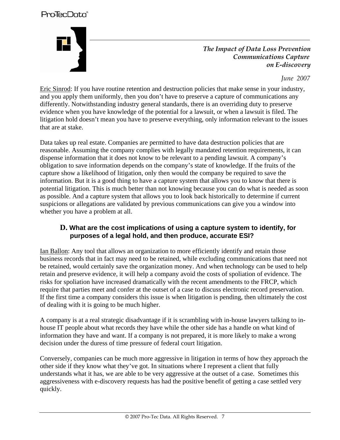

 *The Impact of Data Loss Prevention Communications Capture on E-discovery* 

 *June 2007* 

Eric Sinrod: If you have routine retention and destruction policies that make sense in your industry, and you apply them uniformly, then you don't have to preserve a capture of communications any differently. Notwithstanding industry general standards, there is an overriding duty to preserve evidence when you have knowledge of the potential for a lawsuit, or when a lawsuit is filed. The litigation hold doesn't mean you have to preserve everything, only information relevant to the issues that are at stake.

Data takes up real estate. Companies are permitted to have data destruction policies that are reasonable. Assuming the company complies with legally mandated retention requirements, it can dispense information that it does not know to be relevant to a pending lawsuit. A company's obligation to save information depends on the company's state of knowledge. If the fruits of the capture show a likelihood of litigation, only then would the company be required to save the information. But it is a good thing to have a capture system that allows you to know that there is potential litigation. This is much better than not knowing because you can do what is needed as soon as possible. And a capture system that allows you to look back historically to determine if current suspicions or allegations are validated by previous communications can give you a window into whether you have a problem at all.

#### **D. What are the cost implications of using a capture system to identify, for purposes of a legal hold, and then produce, accurate ESI?**

Ian Ballon: Any tool that allows an organization to more efficiently identify and retain those business records that in fact may need to be retained, while excluding communications that need not be retained, would certainly save the organization money. And when technology can be used to help retain and preserve evidence, it will help a company avoid the costs of spoliation of evidence. The risks for spoliation have increased dramatically with the recent amendments to the FRCP, which require that parties meet and confer at the outset of a case to discuss electronic record preservation. If the first time a company considers this issue is when litigation is pending, then ultimately the cost of dealing with it is going to be much higher.

A company is at a real strategic disadvantage if it is scrambling with in-house lawyers talking to inhouse IT people about what records they have while the other side has a handle on what kind of information they have and want. If a company is not prepared, it is more likely to make a wrong decision under the duress of time pressure of federal court litigation.

Conversely, companies can be much more aggressive in litigation in terms of how they approach the other side if they know what they've got. In situations where I represent a client that fully understands what it has, we are able to be very aggressive at the outset of a case. Sometimes this aggressiveness with e-discovery requests has had the positive benefit of getting a case settled very quickly.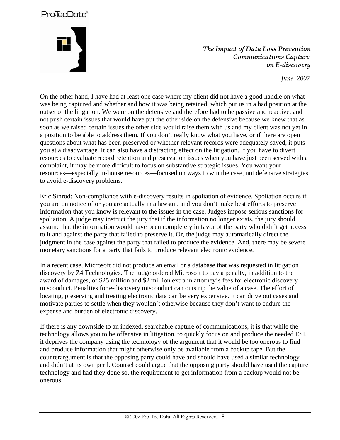*The Impact of Data Loss Prevention Communications Capture on E-discovery* 

 *June 2007* 

On the other hand, I have had at least one case where my client did not have a good handle on what was being captured and whether and how it was being retained, which put us in a bad position at the outset of the litigation. We were on the defensive and therefore had to be passive and reactive, and not push certain issues that would have put the other side on the defensive because we knew that as soon as we raised certain issues the other side would raise them with us and my client was not yet in a position to be able to address them. If you don't really know what you have, or if there are open questions about what has been preserved or whether relevant records were adequately saved, it puts you at a disadvantage. It can also have a distracting effect on the litigation. If you have to divert resources to evaluate record retention and preservation issues when you have just been served with a complaint, it may be more difficult to focus on substantive strategic issues. You want your resources—especially in-house resources—focused on ways to win the case, not defensive strategies to avoid e-discovery problems.

Eric Sinrod: Non-compliance with e-discovery results in spoliation of evidence. Spoliation occurs if you are on notice of or you are actually in a lawsuit, and you don't make best efforts to preserve information that you know is relevant to the issues in the case. Judges impose serious sanctions for spoliation. A judge may instruct the jury that if the information no longer exists, the jury should assume that the information would have been completely in favor of the party who didn't get access to it and against the party that failed to preserve it. Or, the judge may automatically direct the judgment in the case against the party that failed to produce the evidence. And, there may be severe monetary sanctions for a party that fails to produce relevant electronic evidence.

In a recent case, Microsoft did not produce an email or a database that was requested in litigation discovery by Z4 Technologies. The judge ordered Microsoft to pay a penalty, in addition to the award of damages, of \$25 million and \$2 million extra in attorney's fees for electronic discovery misconduct. Penalties for e-discovery misconduct can outstrip the value of a case. The effort of locating, preserving and treating electronic data can be very expensive. It can drive out cases and motivate parties to settle when they wouldn't otherwise because they don't want to endure the expense and burden of electronic discovery.

If there is any downside to an indexed, searchable capture of communications, it is that while the technology allows you to be offensive in litigation, to quickly focus on and produce the needed ESI, it deprives the company using the technology of the argument that it would be too onerous to find and produce information that might otherwise only be available from a backup tape. But the counterargument is that the opposing party could have and should have used a similar technology and didn't at its own peril. Counsel could argue that the opposing party should have used the capture technology and had they done so, the requirement to get information from a backup would not be onerous.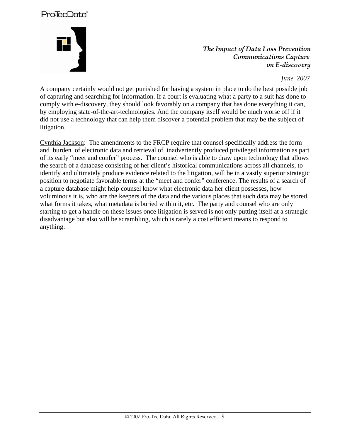

 *The Impact of Data Loss Prevention Communications Capture on E-discovery* 

 *June 2007* 

A company certainly would not get punished for having a system in place to do the best possible job of capturing and searching for information. If a court is evaluating what a party to a suit has done to comply with e-discovery, they should look favorably on a company that has done everything it can, by employing state-of-the-art-technologies. And the company itself would be much worse off if it did not use a technology that can help them discover a potential problem that may be the subject of litigation.

Cynthia Jackson: The amendments to the FRCP require that counsel specifically address the form and burden of electronic data and retrieval of inadvertently produced privileged information as part of its early "meet and confer" process. The counsel who is able to draw upon technology that allows the search of a database consisting of her client's historical communications across all channels, to identify and ultimately produce evidence related to the litigation, will be in a vastly superior strategic position to negotiate favorable terms at the "meet and confer" conference. The results of a search of a capture database might help counsel know what electronic data her client possesses, how voluminous it is, who are the keepers of the data and the various places that such data may be stored, what forms it takes, what metadata is buried within it, etc. The party and counsel who are only starting to get a handle on these issues once litigation is served is not only putting itself at a strategic disadvantage but also will be scrambling, which is rarely a cost efficient means to respond to anything.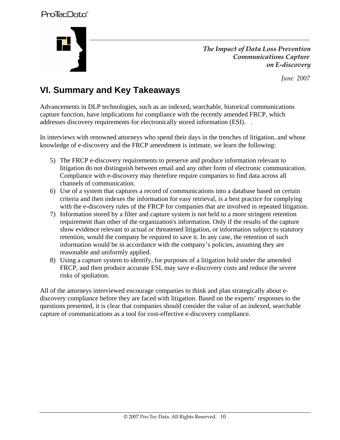

 *The Impact of Data Loss Prevention Communications Capture on E-discovery* 

 *June 2007* 

# **VI. Summary and Key Takeaways**

Advancements in DLP technologies, such as an indexed, searchable, historical communications capture function, have implications for compliance with the recently amended FRCP, which addresses discovery requirements for electronically stored information (ESI). .

In interviews with renowned attorneys who spend their days in the trenches of litigation, and whose knowledge of e-discovery and the FRCP amendment is intimate, we learn the following:

- 5) The FRCP e-discovery requirements to preserve and produce information relevant to litigation do not distinguish between email and any other form of electronic communication. Compliance with e-discovery may therefore require companies to find data across all channels of communication.
- 6) Use of a system that captures a record of communications into a database based on certain criteria and then indexes the information for easy retrieval, is a best practice for complying with the e-discovery rules of the FRCP for companies that are involved in repeated litigation.
- 7) Information stored by a filter and capture system is not held to a more stringent retention requirement than other of the organization's information. Only if the results of the capture show evidence relevant to actual or threatened litigation, or information subject to statutory retention, would the company be required to save it. In any case, the retention of such information would be in accordance with the company's policies, assuming they are reasonable and uniformly applied.
- 8) Using a capture system to identify, for purposes of a litigation hold under the amended FRCP, and then produce accurate ESI, may save e-discovery costs and reduce the severe risks of spoliation.

All of the attorneys interviewed encourage companies to think and plan strategically about ediscovery compliance before they are faced with litigation. Based on the experts' responses to the questions presented, it is clear that companies should consider the value of an indexed, searchable capture of communications as a tool for cost-effective e-discovery compliance.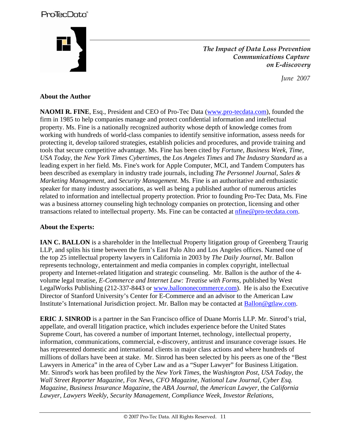*The Impact of Data Loss Prevention Communications Capture on E-discovery* 

 *June 2007* 

#### **About the Author**

**NAOMI R. FINE**, Esq., President and CEO of Pro-Tec Data (www.pro-tecdata.com), founded the firm in 1985 to help companies manage and protect confidential information and intellectual property. Ms. Fine is a nationally recognized authority whose depth of knowledge comes from working with hundreds of world-class companies to identify sensitive information, assess needs for protecting it, develop tailored strategies, establish policies and procedures, and provide training and tools that secure competitive advantage. Ms. Fine has been cited by *Fortune*, *Business Week*, *Time*, *USA Today*, the *New York Times Cybertimes*, the *Los Angeles Times* and *The Industry Standard* as a leading expert in her field. Ms. Fine's work for Apple Computer, MCI, and Tandem Computers has been described as exemplary in industry trade journals, including *The Personnel Journal*, *Sales & Marketing Management*, and *Security Management*. Ms. Fine is an authoritative and enthusiastic speaker for many industry associations, as well as being a published author of numerous articles related to information and intellectual property protection. Prior to founding Pro-Tec Data, Ms. Fine was a business attorney counseling high technology companies on protection, licensing and other transactions related to intellectual property. Ms. Fine can be contacted at [nfine@pro-tecdata.com.](mailto:nfine@pro-tecdata.com)

#### **About the Experts:**

**IAN C. BALLON** is a shareholder in the Intellectual Property litigation group of Greenberg Traurig LLP, and splits his time between the firm's East Palo Alto and Los Angeles offices. Named one of the top 25 intellectual property lawyers in California in 2003 by *The Daily Journal*, Mr. Ballon represents technology, entertainment and media companies in complex copyright, intellectual property and Internet-related litigation and strategic counseling. Mr. Ballon is the author of the 4 volume legal treatise, *E-Commerce and Internet Law: Treatise with Forms*, published by West LegalWorks Publishing (212-337-8443 or www.ballononecommerce.com). He is also the Executive Director of Stanford University's Center for E-Commerce and an advisor to the American Law Institute's International Jurisdiction project. Mr. Ballon may be contacted at Ballon@gtlaw.com.

**ERIC J. SINROD** is a partner in the San Francisco office of Duane Morris LLP. Mr. Sinrod's trial, appellate, and overall litigation practice, which includes experience before the United States Supreme Court, has covered a number of important Internet, technology, intellectual property, information, communications, commercial, e-discovery, antitrust and insurance coverage issues. He has represented domestic and international clients in major class actions and where hundreds of millions of dollars have been at stake. Mr. Sinrod has been selected by his peers as one of the "Best Lawyers in America" in the area of Cyber Law and as a "Super Lawyer" for Business Litigation. Mr. Sinrod's work has been profiled by the *New York Times*, the *Washington Post*, *USA Today*, the *Wall Street Reporter Magazine*, *Fox News*, *CFO Magazine*, *National Law Journal*, *Cyber Esq. Magazine*, *Business Insurance Magazine*, the *ABA Journal*, the *American Lawyer*, the *California Lawyer*, *Lawyers Weekly*, *Security Management*, *Compliance Week*, *Investor Relations*,